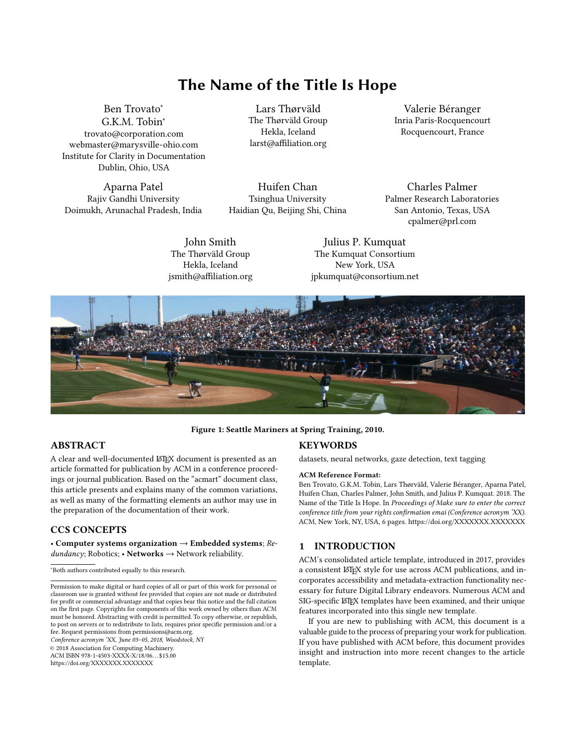# The Name of the Title Is Hope

[Ben Trovato](https://orcid.org/1234-5678-9012)<sup>∗</sup> G.K.M. Tobin<sup>∗</sup> trovato@corporation.com webmaster@marysville-ohio.com Institute for Clarity in Documentation Dublin, Ohio, USA

Aparna Patel Rajiv Gandhi University Doimukh, Arunachal Pradesh, India

Lars Thørväld The Thørväld Group Hekla, Iceland larst@affiliation.org

Huifen Chan Tsinghua University Haidian Qu, Beijing Shi, China

Valerie Béranger Inria Paris-Rocquencourt Rocquencourt, France

Charles Palmer Palmer Research Laboratories San Antonio, Texas, USA cpalmer@prl.com

John Smith The Thørväld Group Hekla, Iceland jsmith@affiliation.org

Julius P. Kumquat The Kumquat Consortium New York, USA jpkumquat@consortium.net



## Figure 1: Seattle Mariners at Spring Training, 2010.

# ABSTRACT

A clear and well-documented LATEX document is presented as an article formatted for publication by ACM in a conference proceedings or journal publication. Based on the "acmart" document class, this article presents and explains many of the common variations, as well as many of the formatting elements an author may use in the preparation of the documentation of their work.

# CCS CONCEPTS

• Computer systems organization  $\rightarrow$  Embedded systems; Re $dundancy$ ; Robotics; • Networks  $\rightarrow$  Network reliability.

Conference acronym 'XX, June 03–05, 2018, Woodstock, NY

© 2018 Association for Computing Machinery.

ACM ISBN 978-1-4503-XXXX-X/18/06. . . \$15.00 <https://doi.org/XXXXXXX.XXXXXXX>

# **KEYWORDS**

datasets, neural networks, gaze detection, text tagging

#### ACM Reference Format:

Ben Trovato, G.K.M. Tobin, Lars Thørväld, Valerie Béranger, Aparna Patel, Huifen Chan, Charles Palmer, John Smith, and Julius P. Kumquat. 2018. The Name of the Title Is Hope. In Proceedings of Make sure to enter the correct conference title from your rights confirmation emai (Conference acronym 'XX). ACM, New York, NY, USA, [6](#page-5-0) pages.<https://doi.org/XXXXXXX.XXXXXXX>

# 1 INTRODUCTION

ACM's consolidated article template, introduced in 2017, provides a consistent LATEX style for use across ACM publications, and incorporates accessibility and metadata-extraction functionality necessary for future Digital Library endeavors. Numerous ACM and SIG-specific LATEX templates have been examined, and their unique features incorporated into this single new template.

If you are new to publishing with ACM, this document is a valuable guide to the process of preparing your work for publication. If you have published with ACM before, this document provides insight and instruction into more recent changes to the article template.

<sup>∗</sup>Both authors contributed equally to this research.

Permission to make digital or hard copies of all or part of this work for personal or classroom use is granted without fee provided that copies are not made or distributed for profit or commercial advantage and that copies bear this notice and the full citation on the first page. Copyrights for components of this work owned by others than ACM must be honored. Abstracting with credit is permitted. To copy otherwise, or republish, to post on servers or to redistribute to lists, requires prior specific permission and/or a fee. Request permissions from permissions@acm.org.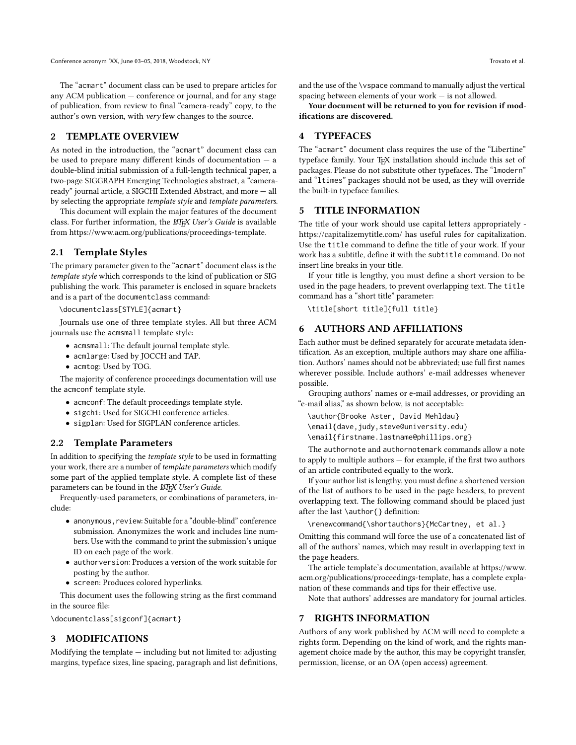The "acmart" document class can be used to prepare articles for any ACM publication — conference or journal, and for any stage of publication, from review to final "camera-ready" copy, to the author's own version, with very few changes to the source.

#### 2 TEMPLATE OVERVIEW

As noted in the introduction, the "acmart" document class can be used to prepare many different kinds of documentation — a double-blind initial submission of a full-length technical paper, a two-page SIGGRAPH Emerging Technologies abstract, a "cameraready" journal article, a SIGCHI Extended Abstract, and more — all by selecting the appropriate template style and template parameters.

This document will explain the major features of the document class. For further information, the LHEX User's Guide is available from [https://www.acm.org/publications/proceedings-template.](https://www.acm.org/publications/proceedings-template)

## 2.1 Template Styles

The primary parameter given to the "acmart" document class is the template style which corresponds to the kind of publication or SIG publishing the work. This parameter is enclosed in square brackets and is a part of the documentclass command:

\documentclass[STYLE]{acmart}

Journals use one of three template styles. All but three ACM journals use the acmsmall template style:

- acmsmall: The default journal template style.
- acmlarge: Used by JOCCH and TAP.
- acmtog: Used by TOG.

The majority of conference proceedings documentation will use the acmconf template style.

- acmconf: The default proceedings template style.
- sigchi: Used for SIGCHI conference articles.
- sigplan: Used for SIGPLAN conference articles.

### 2.2 Template Parameters

In addition to specifying the template style to be used in formatting your work, there are a number of template parameters which modify some part of the applied template style. A complete list of these parameters can be found in the *ETEX User's Guide*.

Frequently-used parameters, or combinations of parameters, include:

- anonymous,review: Suitable for a "double-blind" conference submission. Anonymizes the work and includes line numbers. Use with the command to print the submission's unique ID on each page of the work.
- authorversion: Produces a version of the work suitable for posting by the author.
- screen: Produces colored hyperlinks.

This document uses the following string as the first command in the source file:

\documentclass[sigconf]{acmart}

## 3 MODIFICATIONS

Modifying the template — including but not limited to: adjusting margins, typeface sizes, line spacing, paragraph and list definitions, and the use of the \vspace command to manually adjust the vertical spacing between elements of your work — is not allowed.

Your document will be returned to you for revision if modifications are discovered.

## 4 TYPEFACES

The "acmart" document class requires the use of the "Libertine" typeface family. Your TEX installation should include this set of packages. Please do not substitute other typefaces. The "lmodern" and "ltimes" packages should not be used, as they will override the built-in typeface families.

#### 5 TITLE INFORMATION

The title of your work should use capital letters appropriately <https://capitalizemytitle.com/> has useful rules for capitalization. Use the title command to define the title of your work. If your work has a subtitle, define it with the subtitle command. Do not insert line breaks in your title.

If your title is lengthy, you must define a short version to be used in the page headers, to prevent overlapping text. The title command has a "short title" parameter:

\title[short title]{full title}

## 6 AUTHORS AND AFFILIATIONS

Each author must be defined separately for accurate metadata identification. As an exception, multiple authors may share one affiliation. Authors' names should not be abbreviated; use full first names wherever possible. Include authors' e-mail addresses whenever possible.

Grouping authors' names or e-mail addresses, or providing an "e-mail alias," as shown below, is not acceptable:

\author{Brooke Aster, David Mehldau}

\email{dave,judy,steve@university.edu}

\email{firstname.lastname@phillips.org}

The authornote and authornotemark commands allow a note to apply to multiple authors — for example, if the first two authors of an article contributed equally to the work.

If your author list is lengthy, you must define a shortened version of the list of authors to be used in the page headers, to prevent overlapping text. The following command should be placed just after the last \author{} definition:

\renewcommand{\shortauthors}{McCartney, et al.}

Omitting this command will force the use of a concatenated list of all of the authors' names, which may result in overlapping text in the page headers.

The article template's documentation, available at [https://www.](https://www.acm.org/publications/proceedings-template) [acm.org/publications/proceedings-template,](https://www.acm.org/publications/proceedings-template) has a complete explanation of these commands and tips for their effective use.

Note that authors' addresses are mandatory for journal articles.

#### 7 RIGHTS INFORMATION

Authors of any work published by ACM will need to complete a rights form. Depending on the kind of work, and the rights management choice made by the author, this may be copyright transfer, permission, license, or an OA (open access) agreement.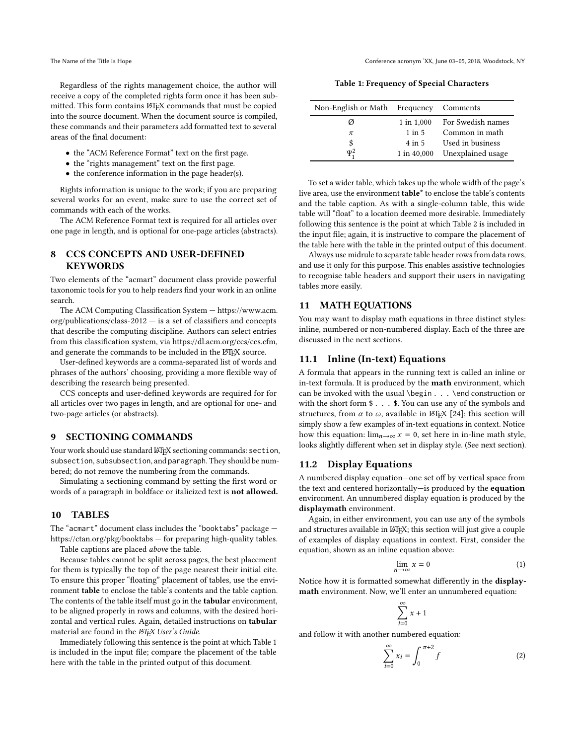Regardless of the rights management choice, the author will receive a copy of the completed rights form once it has been submitted. This form contains LATEX commands that must be copied into the source document. When the document source is compiled, these commands and their parameters add formatted text to several areas of the final document:

- the "ACM Reference Format" text on the first page.
- the "rights management" text on the first page.
- the conference information in the page header(s).

Rights information is unique to the work; if you are preparing several works for an event, make sure to use the correct set of commands with each of the works.

The ACM Reference Format text is required for all articles over one page in length, and is optional for one-page articles (abstracts).

# 8 CCS CONCEPTS AND USER-DEFINED **KEYWORDS**

Two elements of the "acmart" document class provide powerful taxonomic tools for you to help readers find your work in an online search.

The ACM Computing Classification System — [https://www.acm.](https://www.acm.org/publications/class-2012) [org/publications/class-2012](https://www.acm.org/publications/class-2012) — is a set of classifiers and concepts that describe the computing discipline. Authors can select entries from this classification system, via [https://dl.acm.org/ccs/ccs.cfm,](https://dl.acm.org/ccs/ccs.cfm) and generate the commands to be included in the LATEX source.

User-defined keywords are a comma-separated list of words and phrases of the authors' choosing, providing a more flexible way of describing the research being presented.

CCS concepts and user-defined keywords are required for for all articles over two pages in length, and are optional for one- and two-page articles (or abstracts).

#### 9 SECTIONING COMMANDS

Your work should use standard LATEX sectioning commands: section, subsection, subsubsection, and paragraph. They should be numbered; do not remove the numbering from the commands.

Simulating a sectioning command by setting the first word or words of a paragraph in boldface or italicized text is not allowed.

#### 10 TABLES

The "acmart" document class includes the "booktabs" package <https://ctan.org/pkg/booktabs> — for preparing high-quality tables.

Table captions are placed above the table.

Because tables cannot be split across pages, the best placement for them is typically the top of the page nearest their initial cite. To ensure this proper "floating" placement of tables, use the environment table to enclose the table's contents and the table caption. The contents of the table itself must go in the **tabular** environment, to be aligned properly in rows and columns, with the desired horizontal and vertical rules. Again, detailed instructions on tabular material are found in the *ETEX User's Guide*.

Immediately following this sentence is the point at which Table [1](#page-2-0) is included in the input file; compare the placement of the table here with the table in the printed output of this document.

Table 1: Frequency of Special Characters

<span id="page-2-0"></span>

| Non-English or Math Frequency Comments |             |                   |
|----------------------------------------|-------------|-------------------|
| Ø                                      | 1 in 1,000  | For Swedish names |
| $\pi$                                  | $1$ in $5$  | Common in math    |
| \$                                     | 4 in 5      | Used in business  |
| $\Psi^2$                               | 1 in 40,000 | Unexplained usage |

To set a wider table, which takes up the whole width of the page's live area, use the environment table\* to enclose the table's contents and the table caption. As with a single-column table, this wide table will "float" to a location deemed more desirable. Immediately following this sentence is the point at which Table [2](#page-3-0) is included in the input file; again, it is instructive to compare the placement of the table here with the table in the printed output of this document.

Always use midrule to separate table header rows from data rows, and use it only for this purpose. This enables assistive technologies to recognise table headers and support their users in navigating tables more easily.

## 11 MATH EQUATIONS

You may want to display math equations in three distinct styles: inline, numbered or non-numbered display. Each of the three are discussed in the next sections.

#### 11.1 Inline (In-text) Equations

A formula that appears in the running text is called an inline or in-text formula. It is produced by the math environment, which can be invoked with the usual \begin . . . \end construction or with the short form \$ . . . \$. You can use any of the symbols and structures, from  $\alpha$  to  $\omega$ , available in LATEX [\[24\]](#page-5-1); this section will simply show a few examples of in-text equations in context. Notice how this equation:  $\lim_{n\to\infty} x = 0$ , set here in in-line math style, looks slightly different when set in display style. (See next section).

# 11.2 Display Equations

A numbered display equation—one set off by vertical space from the text and centered horizontally—is produced by the equation environment. An unnumbered display equation is produced by the displaymath environment.

Again, in either environment, you can use any of the symbols and structures available in LATEX; this section will just give a couple of examples of display equations in context. First, consider the equation, shown as an inline equation above:

$$
\lim_{n \to \infty} x = 0 \tag{1}
$$

Notice how it is formatted somewhat differently in the displaymath environment. Now, we'll enter an unnumbered equation:

$$
\sum_{i=0}^\infty x+1
$$

and follow it with another numbered equation:

$$
\sum_{i=0}^{\infty} x_i = \int_0^{\pi+2} f \tag{2}
$$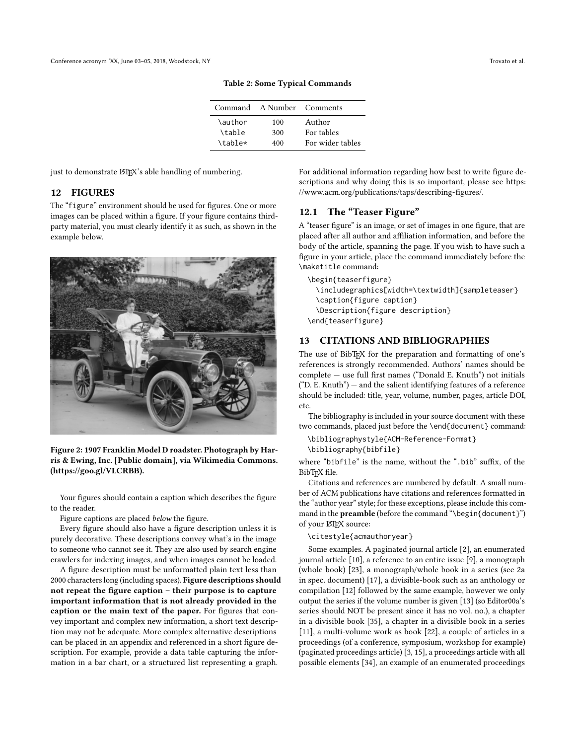| Command | A Number Comments |                  |
|---------|-------------------|------------------|
| \author | 100               | Author           |
| \table  | 300               | For tables       |
| \table* | 400               | For wider tables |

Table 2: Some Typical Commands

<span id="page-3-0"></span>just to demonstrate LATEX's able handling of numbering.

# 12 FIGURES

The "figure" environment should be used for figures. One or more images can be placed within a figure. If your figure contains thirdparty material, you must clearly identify it as such, as shown in the example below.





Your figures should contain a caption which describes the figure to the reader.

Figure captions are placed below the figure.

Every figure should also have a figure description unless it is purely decorative. These descriptions convey what's in the image to someone who cannot see it. They are also used by search engine crawlers for indexing images, and when images cannot be loaded.

A figure description must be unformatted plain text less than 2000 characters long (including spaces). Figure descriptions should not repeat the figure caption – their purpose is to capture important information that is not already provided in the caption or the main text of the paper. For figures that convey important and complex new information, a short text description may not be adequate. More complex alternative descriptions can be placed in an appendix and referenced in a short figure description. For example, provide a data table capturing the information in a bar chart, or a structured list representing a graph.

For additional information regarding how best to write figure descriptions and why doing this is so important, please see [https:](https://www.acm.org/publications/taps/describing-figures/) [//www.acm.org/publications/taps/describing-figures/.](https://www.acm.org/publications/taps/describing-figures/)

# 12.1 The "Teaser Figure"

A "teaser figure" is an image, or set of images in one figure, that are placed after all author and affiliation information, and before the body of the article, spanning the page. If you wish to have such a figure in your article, place the command immediately before the \maketitle command:

\begin{teaserfigure} \includegraphics[width=\textwidth]{sampleteaser} \caption{figure caption} \Description{figure description} \end{teaserfigure}

# 13 CITATIONS AND BIBLIOGRAPHIES

The use of BibT<sub>E</sub>X for the preparation and formatting of one's references is strongly recommended. Authors' names should be complete — use full first names ("Donald E. Knuth") not initials  $("D. E. Knuth")$  — and the salient identifying features of a reference should be included: title, year, volume, number, pages, article DOI, etc.

The bibliography is included in your source document with these two commands, placed just before the \end{document} command:

\bibliographystyle{ACM-Reference-Format}

\bibliography{bibfile}

where "bibfile" is the name, without the ".bib" suffix, of the BibTEX file.

Citations and references are numbered by default. A small number of ACM publications have citations and references formatted in the "author year" style; for these exceptions, please include this command in the **preamble** (before the command "\begin{document}") of your LATEX source:

\citestyle{acmauthoryear}

Some examples. A paginated journal article [\[2\]](#page-4-0), an enumerated journal article [\[10\]](#page-4-1), a reference to an entire issue [\[9\]](#page-4-2), a monograph (whole book) [\[23\]](#page-5-2), a monograph/whole book in a series (see 2a in spec. document) [\[17\]](#page-4-3), a divisible-book such as an anthology or compilation [\[12\]](#page-4-4) followed by the same example, however we only output the series if the volume number is given [\[13\]](#page-4-5) (so Editor00a's series should NOT be present since it has no vol. no.), a chapter in a divisible book [\[35\]](#page-5-3), a chapter in a divisible book in a series [\[11\]](#page-4-6), a multi-volume work as book [\[22\]](#page-5-4), a couple of articles in a proceedings (of a conference, symposium, workshop for example) (paginated proceedings article) [\[3,](#page-4-7) [15\]](#page-4-8), a proceedings article with all possible elements [\[34\]](#page-5-5), an example of an enumerated proceedings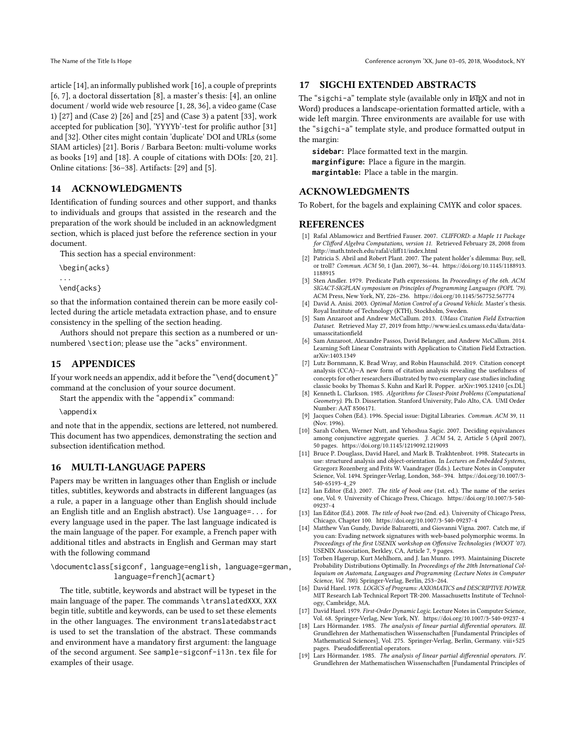article [\[14\]](#page-4-9), an informally published work [\[16\]](#page-4-10), a couple of preprints [\[6,](#page-4-11) [7\]](#page-4-12), a doctoral dissertation [\[8\]](#page-4-13), a master's thesis: [\[4\]](#page-4-14), an online document / world wide web resource [\[1,](#page-4-15) [28,](#page-5-6) [36\]](#page-5-7), a video game (Case 1) [\[27\]](#page-5-8) and (Case 2) [\[26\]](#page-5-9) and [\[25\]](#page-5-10) and (Case 3) a patent [\[33\]](#page-5-11), work accepted for publication [\[30\]](#page-5-12), 'YYYYb'-test for prolific author [\[31\]](#page-5-13) and [\[32\]](#page-5-14). Other cites might contain 'duplicate' DOI and URLs (some SIAM articles) [\[21\]](#page-5-15). Boris / Barbara Beeton: multi-volume works as books [\[19\]](#page-4-16) and [\[18\]](#page-4-17). A couple of citations with DOIs: [\[20,](#page-5-16) [21\]](#page-5-15). Online citations: [\[36](#page-5-7)[–38\]](#page-5-17). Artifacts: [\[29\]](#page-5-18) and [\[5\]](#page-4-18).

# 14 ACKNOWLEDGMENTS

Identification of funding sources and other support, and thanks to individuals and groups that assisted in the research and the preparation of the work should be included in an acknowledgment section, which is placed just before the reference section in your document.

This section has a special environment:

\begin{acks}

... \end{acks}

so that the information contained therein can be more easily collected during the article metadata extraction phase, and to ensure consistency in the spelling of the section heading.

Authors should not prepare this section as a numbered or unnumbered \section; please use the "acks" environment.

## 15 APPENDICES

If your work needs an appendix, add it before the "\end{document}" command at the conclusion of your source document.

Start the appendix with the "appendix" command:

\appendix

and note that in the appendix, sections are lettered, not numbered. This document has two appendices, demonstrating the section and subsection identification method.

## 16 MULTI-LANGUAGE PAPERS

Papers may be written in languages other than English or include titles, subtitles, keywords and abstracts in different languages (as a rule, a paper in a language other than English should include an English title and an English abstract). Use language=... for every language used in the paper. The last language indicated is the main language of the paper. For example, a French paper with additional titles and abstracts in English and German may start with the following command

\documentclass[sigconf, language=english, language=german, language=french]{acmart}

The title, subtitle, keywords and abstract will be typeset in the main language of the paper. The commands \translatedXXX, XXX begin title, subtitle and keywords, can be used to set these elements in the other languages. The environment translatedabstract is used to set the translation of the abstract. These commands and environment have a mandatory first argument: the language of the second argument. See sample-sigconf-i13n.tex file for examples of their usage.

#### 17 SIGCHI EXTENDED ABSTRACTS

The "sigchi-a" template style (available only in LATEX and not in Word) produces a landscape-orientation formatted article, with a wide left margin. Three environments are available for use with the "sigchi-a" template style, and produce formatted output in the margin:

**sidebar**: Place formatted text in the margin. **marginfigure**: Place a figure in the margin. **margintable**: Place a table in the margin.

# ACKNOWLEDGMENTS

To Robert, for the bagels and explaining CMYK and color spaces.

### REFERENCES

- <span id="page-4-15"></span>[1] Rafal Ablamowicz and Bertfried Fauser. 2007. CLIFFORD: a Maple 11 Package for Clifford Algebra Computations, version 11. Retrieved February 28, 2008 from <http://math.tntech.edu/rafal/cliff11/index.html>
- <span id="page-4-0"></span>[2] Patricia S. Abril and Robert Plant. 2007. The patent holder's dilemma: Buy, sell, or troll? Commun. ACM 50, 1 (Jan. 2007), 36–44. [https://doi.org/10.1145/1188913.](https://doi.org/10.1145/1188913.1188915) [1188915](https://doi.org/10.1145/1188913.1188915)
- <span id="page-4-7"></span>[3] Sten Andler. 1979. Predicate Path expressions. In Proceedings of the 6th. ACM SIGACT-SIGPLAN symposium on Principles of Programming Languages (POPL '79). ACM Press, New York, NY, 226–236.<https://doi.org/10.1145/567752.567774>
- <span id="page-4-14"></span>[4] David A. Anisi. 2003. Optimal Motion Control of a Ground Vehicle. Master's thesis. Royal Institute of Technology (KTH), Stockholm, Sweden.
- <span id="page-4-18"></span>[5] Sam Anzaroot and Andrew McCallum. 2013. UMass Citation Field Extraction Dataset. Retrieved May 27, 2019 from [http://www.iesl.cs.umass.edu/data/data](http://www.iesl.cs.umass.edu/data/data-umasscitationfield)[umasscitationfield](http://www.iesl.cs.umass.edu/data/data-umasscitationfield)
- <span id="page-4-11"></span>[6] Sam Anzaroot, Alexandre Passos, David Belanger, and Andrew McCallum. 2014. Learning Soft Linear Constraints with Application to Citation Field Extraction. arXiv[:1403.1349](https://arxiv.org/abs/1403.1349)
- <span id="page-4-12"></span>[7] Lutz Bornmann, K. Brad Wray, and Robin Haunschild. 2019. Citation concept analysis (CCA)—A new form of citation analysis revealing the usefulness of concepts for other researchers illustrated by two exemplary case studies including classic books by Thomas S. Kuhn and Karl R. Popper. arXiv[:1905.12410](https://arxiv.org/abs/1905.12410) [cs.DL]
- <span id="page-4-13"></span>[8] Kenneth L. Clarkson. 1985. Algorithms for Closest-Point Problems (Computational Geometry). Ph. D. Dissertation. Stanford University, Palo Alto, CA. UMI Order Number: AAT 8506171.
- <span id="page-4-2"></span>[9] Jacques Cohen (Ed.). 1996. Special issue: Digital Libraries. Commun. ACM 39, 11 (Nov. 1996).
- <span id="page-4-1"></span>[10] Sarah Cohen, Werner Nutt, and Yehoshua Sagic. 2007. Deciding equivalances among conjunctive aggregate queries. J. ACM 54, 2, Article 5 (April 2007), 50 pages.<https://doi.org/10.1145/1219092.1219093>
- <span id="page-4-6"></span>[11] Bruce P. Douglass, David Harel, and Mark B. Trakhtenbrot. 1998. Statecarts in use: structured analysis and object-orientation. In Lectures on Embedded Systems, Grzegorz Rozenberg and Frits W. Vaandrager (Eds.). Lecture Notes in Computer Science, Vol. 1494. Springer-Verlag, London, 368–394. [https://doi.org/10.1007/3-](https://doi.org/10.1007/3-540-65193-4_29) [540-65193-4\\_29](https://doi.org/10.1007/3-540-65193-4_29)
- <span id="page-4-4"></span>[12] Ian Editor (Ed.). 2007. The title of book one (1st. ed.). The name of the series one, Vol. 9. University of Chicago Press, Chicago. [https://doi.org/10.1007/3-540-](https://doi.org/10.1007/3-540-09237-4) [09237-4](https://doi.org/10.1007/3-540-09237-4)
- <span id="page-4-5"></span>[13] Ian Editor (Ed.). 2008. The title of book two (2nd. ed.). University of Chicago Press, Chicago, Chapter 100.<https://doi.org/10.1007/3-540-09237-4>
- <span id="page-4-9"></span>[14] Matthew Van Gundy, Davide Balzarotti, and Giovanni Vigna. 2007. Catch me, if you can: Evading network signatures with web-based polymorphic worms. In Proceedings of the first USENIX workshop on Offensive Technologies (WOOT '07). USENIX Association, Berkley, CA, Article 7, 9 pages.
- <span id="page-4-8"></span>[15] Torben Hagerup, Kurt Mehlhorn, and J. Ian Munro. 1993. Maintaining Discrete Probability Distributions Optimally. In Proceedings of the 20th International Colloquium on Automata, Languages and Programming (Lecture Notes in Computer Science, Vol. 700). Springer-Verlag, Berlin, 253–264.
- <span id="page-4-10"></span>[16] David Harel. 1978. LOGICS of Programs: AXIOMATICS and DESCRIPTIVE POWER. MIT Research Lab Technical Report TR-200. Massachusetts Institute of Technology, Cambridge, MA.
- <span id="page-4-3"></span>[17] David Harel. 1979. First-Order Dynamic Logic. Lecture Notes in Computer Science, Vol. 68. Springer-Verlag, New York, NY.<https://doi.org/10.1007/3-540-09237-4>
- <span id="page-4-17"></span>[18] Lars Hörmander. 1985. The analysis of linear partial differential operators. III. Grundlehren der Mathematischen Wissenschaften [Fundamental Principles of Mathematical Sciences], Vol. 275. Springer-Verlag, Berlin, Germany. viii+525 pages. Pseudodifferential operators.
- <span id="page-4-16"></span>[19] Lars Hörmander. 1985. The analysis of linear partial differential operators. IV. Grundlehren der Mathematischen Wissenschaften [Fundamental Principles of